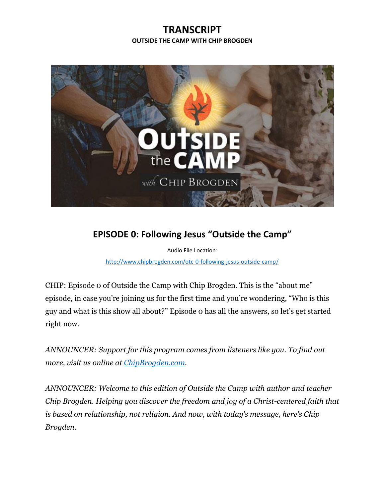## **TRANSCRIPT OUTSIDE THE CAMP WITH CHIP BROGDEN**



## **EPISODE 0: Following Jesus "Outside the Camp"**

Audio File Location:

[http://www.chipbrogden.com/otc-0-following-jesus-outside-camp](http://www.chipbrogden.com/otc-0-following-jesus-outside-camp/)/

CHIP: Episode 0 of Outside the Camp with Chip Brogden. This is the "about me" episode, in case you're joining us for the first time and you're wondering, "Who is this guy and what is this show all about?" Episode 0 has all the answers, so let's get started right now.

*ANNOUNCER: Support for this program comes from listeners like you. To find out more, visit us online at [ChipBrogden.com.](http://www.chipbrogden.com/)*

*ANNOUNCER: Welcome to this edition of Outside the Camp with author and teacher Chip Brogden. Helping you discover the freedom and joy of a Christ-centered faith that is based on relationship, not religion. And now, with today's message, here's Chip Brogden.*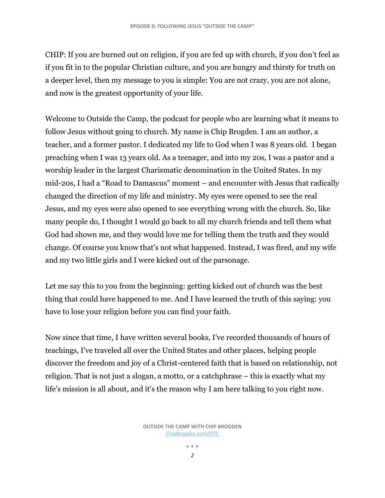CHIP: If you are burned out on religion, if you are fed up with church, if you don't feel as if you fit in to the popular Christian culture, and you are hungry and thirsty for truth on a deeper level, then my message to you is simple: You are not crazy, you are not alone, and now is the greatest opportunity of your life.

Welcome to Outside the Camp, the podcast for people who are learning what it means to follow Jesus without going to church. My name is Chip Brogden. I am an author, a teacher, and a former pastor. I dedicated my life to God when I was 8 years old. I began preaching when I was 13 years old. As a teenager, and into my 20s, I was a pastor and a worship leader in the largest Charismatic denomination in the United States. In my mid-20s, I had a "Road to Damascus" moment – and encounter with Jesus that radically changed the direction of my life and ministry. My eyes were opened to see the real Jesus, and my eyes were also opened to see everything wrong with the church. So, like many people do, I thought I would go back to all my church friends and tell them what God had shown me, and they would love me for telling them the truth and they would change. Of course you know that's not what happened. Instead, I was fired, and my wife and my two little girls and I were kicked out of the parsonage.

Let me say this to you from the beginning: getting kicked out of church was the best thing that could have happened to me. And I have learned the truth of this saying: you have to lose your religion before you can find your faith.

Now since that time, I have written several books, I've recorded thousands of hours of teachings, I've traveled all over the United States and other places, helping people discover the freedom and joy of a Christ-centered faith that is based on relationship, not religion. That is not just a slogan, a motto, or a catchphrase – this is exactly what my life's mission is all about, and it's the reason why I am here talking to you right now.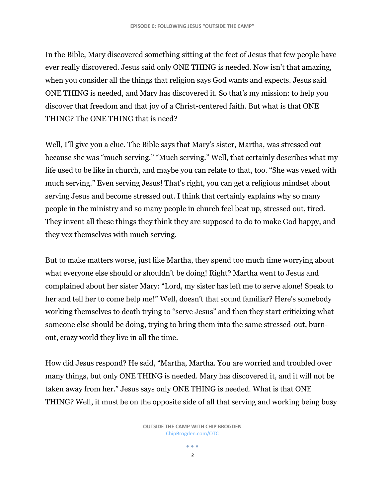In the Bible, Mary discovered something sitting at the feet of Jesus that few people have ever really discovered. Jesus said only ONE THING is needed. Now isn't that amazing, when you consider all the things that religion says God wants and expects. Jesus said ONE THING is needed, and Mary has discovered it. So that's my mission: to help you discover that freedom and that joy of a Christ-centered faith. But what is that ONE THING? The ONE THING that is need?

Well, I'll give you a clue. The Bible says that Mary's sister, Martha, was stressed out because she was "much serving." "Much serving." Well, that certainly describes what my life used to be like in church, and maybe you can relate to that, too. "She was vexed with much serving." Even serving Jesus! That's right, you can get a religious mindset about serving Jesus and become stressed out. I think that certainly explains why so many people in the ministry and so many people in church feel beat up, stressed out, tired. They invent all these things they think they are supposed to do to make God happy, and they vex themselves with much serving.

But to make matters worse, just like Martha, they spend too much time worrying about what everyone else should or shouldn't be doing! Right? Martha went to Jesus and complained about her sister Mary: "Lord, my sister has left me to serve alone! Speak to her and tell her to come help me!" Well, doesn't that sound familiar? Here's somebody working themselves to death trying to "serve Jesus" and then they start criticizing what someone else should be doing, trying to bring them into the same stressed-out, burnout, crazy world they live in all the time.

How did Jesus respond? He said, "Martha, Martha. You are worried and troubled over many things, but only ONE THING is needed. Mary has discovered it, and it will not be taken away from her." Jesus says only ONE THING is needed. What is that ONE THING? Well, it must be on the opposite side of all that serving and working being busy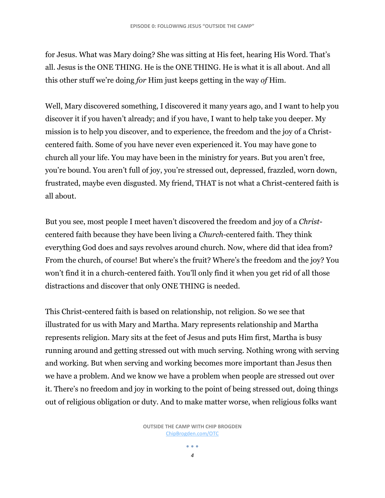for Jesus. What was Mary doing? She was sitting at His feet, hearing His Word. That's all. Jesus is the ONE THING. He is the ONE THING. He is what it is all about. And all this other stuff we're doing *for* Him just keeps getting in the way *of* Him.

Well, Mary discovered something, I discovered it many years ago, and I want to help you discover it if you haven't already; and if you have, I want to help take you deeper. My mission is to help you discover, and to experience, the freedom and the joy of a Christcentered faith. Some of you have never even experienced it. You may have gone to church all your life. You may have been in the ministry for years. But you aren't free, you're bound. You aren't full of joy, you're stressed out, depressed, frazzled, worn down, frustrated, maybe even disgusted. My friend, THAT is not what a Christ-centered faith is all about.

But you see, most people I meet haven't discovered the freedom and joy of a *Christ*centered faith because they have been living a *Church*-centered faith. They think everything God does and says revolves around church. Now, where did that idea from? From the church, of course! But where's the fruit? Where's the freedom and the joy? You won't find it in a church-centered faith. You'll only find it when you get rid of all those distractions and discover that only ONE THING is needed.

This Christ-centered faith is based on relationship, not religion. So we see that illustrated for us with Mary and Martha. Mary represents relationship and Martha represents religion. Mary sits at the feet of Jesus and puts Him first, Martha is busy running around and getting stressed out with much serving. Nothing wrong with serving and working. But when serving and working becomes more important than Jesus then we have a problem. And we know we have a problem when people are stressed out over it. There's no freedom and joy in working to the point of being stressed out, doing things out of religious obligation or duty. And to make matter worse, when religious folks want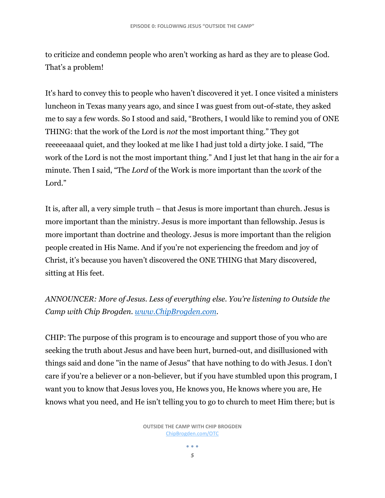to criticize and condemn people who aren't working as hard as they are to please God. That's a problem!

It's hard to convey this to people who haven't discovered it yet. I once visited a ministers luncheon in Texas many years ago, and since I was guest from out-of-state, they asked me to say a few words. So I stood and said, "Brothers, I would like to remind you of ONE THING: that the work of the Lord is *not* the most important thing." They got reeeeeaaaal quiet, and they looked at me like I had just told a dirty joke. I said, "The work of the Lord is not the most important thing." And I just let that hang in the air for a minute. Then I said, "The *Lord* of the Work is more important than the *work* of the Lord."

It is, after all, a very simple truth – that Jesus is more important than church. Jesus is more important than the ministry. Jesus is more important than fellowship. Jesus is more important than doctrine and theology. Jesus is more important than the religion people created in His Name. And if you're not experiencing the freedom and joy of Christ, it's because you haven't discovered the ONE THING that Mary discovered, sitting at His feet.

*ANNOUNCER: More of Jesus. Less of everything else. You're listening to Outside the Camp with Chip Brogden. [www.ChipBrogden.com.](http://www.chipbrogden.com/)*

CHIP: The purpose of this program is to encourage and support those of you who are seeking the truth about Jesus and have been hurt, burned-out, and disillusioned with things said and done "in the name of Jesus" that have nothing to do with Jesus. I don't care if you're a believer or a non-believer, but if you have stumbled upon this program, I want you to know that Jesus loves you, He knows you, He knows where you are, He knows what you need, and He isn't telling you to go to church to meet Him there; but is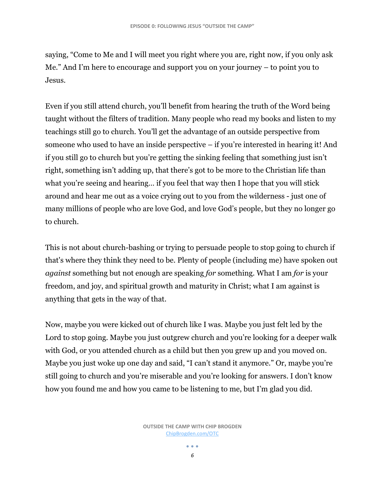saying, "Come to Me and I will meet you right where you are, right now, if you only ask Me." And I'm here to encourage and support you on your journey – to point you to Jesus.

Even if you still attend church, you'll benefit from hearing the truth of the Word being taught without the filters of tradition. Many people who read my books and listen to my teachings still go to church. You'll get the advantage of an outside perspective from someone who used to have an inside perspective – if you're interested in hearing it! And if you still go to church but you're getting the sinking feeling that something just isn't right, something isn't adding up, that there's got to be more to the Christian life than what you're seeing and hearing… if you feel that way then I hope that you will stick around and hear me out as a voice crying out to you from the wilderness - just one of many millions of people who are love God, and love God's people, but they no longer go to church.

This is not about church-bashing or trying to persuade people to stop going to church if that's where they think they need to be. Plenty of people (including me) have spoken out *against* something but not enough are speaking *for* something. What I am *for* is your freedom, and joy, and spiritual growth and maturity in Christ; what I am against is anything that gets in the way of that.

Now, maybe you were kicked out of church like I was. Maybe you just felt led by the Lord to stop going. Maybe you just outgrew church and you're looking for a deeper walk with God, or you attended church as a child but then you grew up and you moved on. Maybe you just woke up one day and said, "I can't stand it anymore." Or, maybe you're still going to church and you're miserable and you're looking for answers. I don't know how you found me and how you came to be listening to me, but I'm glad you did.

> **OUTSIDE THE CAMP WITH CHIP BROGDEN** [ChipBrogden.com/OTC](http://chipbrogden.com/OTC)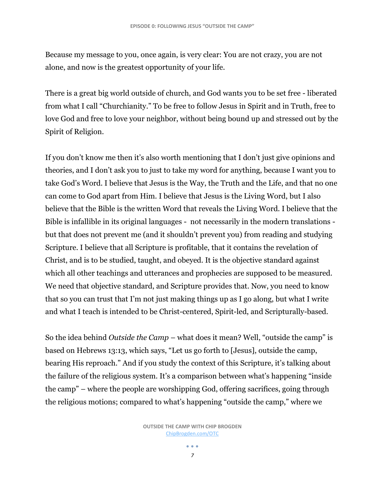Because my message to you, once again, is very clear: You are not crazy, you are not alone, and now is the greatest opportunity of your life.

There is a great big world outside of church, and God wants you to be set free - liberated from what I call "Churchianity." To be free to follow Jesus in Spirit and in Truth, free to love God and free to love your neighbor, without being bound up and stressed out by the Spirit of Religion.

If you don't know me then it's also worth mentioning that I don't just give opinions and theories, and I don't ask you to just to take my word for anything, because I want you to take God's Word. I believe that Jesus is the Way, the Truth and the Life, and that no one can come to God apart from Him. I believe that Jesus is the Living Word, but I also believe that the Bible is the written Word that reveals the Living Word. I believe that the Bible is infallible in its original languages - not necessarily in the modern translations but that does not prevent me (and it shouldn't prevent you) from reading and studying Scripture. I believe that all Scripture is profitable, that it contains the revelation of Christ, and is to be studied, taught, and obeyed. It is the objective standard against which all other teachings and utterances and prophecies are supposed to be measured. We need that objective standard, and Scripture provides that. Now, you need to know that so you can trust that I'm not just making things up as I go along, but what I write and what I teach is intended to be Christ-centered, Spirit-led, and Scripturally-based.

So the idea behind *Outside the Camp* – what does it mean? Well, "outside the camp" is based on Hebrews 13:13, which says, "Let us go forth to [Jesus], outside the camp, bearing His reproach." And if you study the context of this Scripture, it's talking about the failure of the religious system. It's a comparison between what's happening "inside the camp" – where the people are worshipping God, offering sacrifices, going through the religious motions; compared to what's happening "outside the camp," where we

 $\bullet\hspace{0.1cm} \bullet\hspace{0.1cm} \bullet\hspace{0.1cm} \bullet$ *7*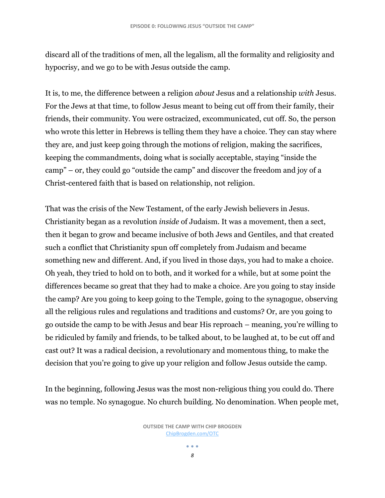discard all of the traditions of men, all the legalism, all the formality and religiosity and hypocrisy, and we go to be with Jesus outside the camp.

It is, to me, the difference between a religion *about* Jesus and a relationship *with* Jesus. For the Jews at that time, to follow Jesus meant to being cut off from their family, their friends, their community. You were ostracized, excommunicated, cut off. So, the person who wrote this letter in Hebrews is telling them they have a choice. They can stay where they are, and just keep going through the motions of religion, making the sacrifices, keeping the commandments, doing what is socially acceptable, staying "inside the camp" – or, they could go "outside the camp" and discover the freedom and joy of a Christ-centered faith that is based on relationship, not religion.

That was the crisis of the New Testament, of the early Jewish believers in Jesus. Christianity began as a revolution *inside* of Judaism. It was a movement, then a sect, then it began to grow and became inclusive of both Jews and Gentiles, and that created such a conflict that Christianity spun off completely from Judaism and became something new and different. And, if you lived in those days, you had to make a choice. Oh yeah, they tried to hold on to both, and it worked for a while, but at some point the differences became so great that they had to make a choice. Are you going to stay inside the camp? Are you going to keep going to the Temple, going to the synagogue, observing all the religious rules and regulations and traditions and customs? Or, are you going to go outside the camp to be with Jesus and bear His reproach – meaning, you're willing to be ridiculed by family and friends, to be talked about, to be laughed at, to be cut off and cast out? It was a radical decision, a revolutionary and momentous thing, to make the decision that you're going to give up your religion and follow Jesus outside the camp.

In the beginning, following Jesus was the most non-religious thing you could do. There was no temple. No synagogue. No church building. No denomination. When people met,

> **OUTSIDE THE CAMP WITH CHIP BROGDEN** [ChipBrogden.com/OTC](http://chipbrogden.com/OTC)

> > $\bullet\hspace{0.1cm} \bullet\hspace{0.1cm} \bullet\hspace{0.1cm} \bullet$ *8*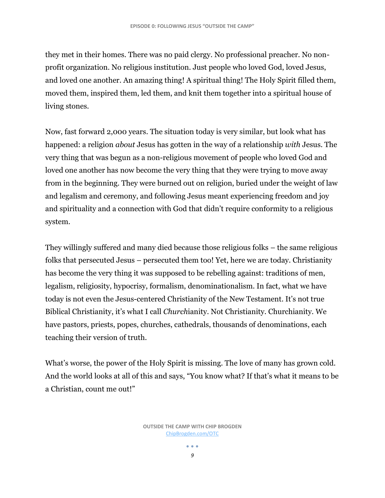they met in their homes. There was no paid clergy. No professional preacher. No nonprofit organization. No religious institution. Just people who loved God, loved Jesus, and loved one another. An amazing thing! A spiritual thing! The Holy Spirit filled them, moved them, inspired them, led them, and knit them together into a spiritual house of living stones.

Now, fast forward 2,000 years. The situation today is very similar, but look what has happened: a religion *about* Jesus has gotten in the way of a relationship *with* Jesus. The very thing that was begun as a non-religious movement of people who loved God and loved one another has now become the very thing that they were trying to move away from in the beginning. They were burned out on religion, buried under the weight of law and legalism and ceremony, and following Jesus meant experiencing freedom and joy and spirituality and a connection with God that didn't require conformity to a religious system.

They willingly suffered and many died because those religious folks – the same religious folks that persecuted Jesus – persecuted them too! Yet, here we are today. Christianity has become the very thing it was supposed to be rebelling against: traditions of men, legalism, religiosity, hypocrisy, formalism, denominationalism. In fact, what we have today is not even the Jesus-centered Christianity of the New Testament. It's not true Biblical Christianity, it's what I call *Church*ianity. Not Christianity. Churchianity. We have pastors, priests, popes, churches, cathedrals, thousands of denominations, each teaching their version of truth.

What's worse, the power of the Holy Spirit is missing. The love of many has grown cold. And the world looks at all of this and says, "You know what? If that's what it means to be a Christian, count me out!"

 $\bullet\hspace{0.1cm} \bullet\hspace{0.1cm} \bullet\hspace{0.1cm} \bullet$ *9*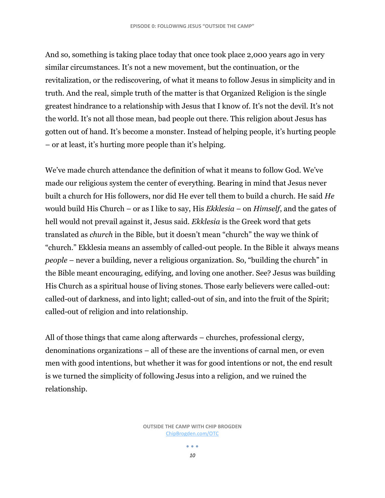And so, something is taking place today that once took place 2,000 years ago in very similar circumstances. It's not a new movement, but the continuation, or the revitalization, or the rediscovering, of what it means to follow Jesus in simplicity and in truth. And the real, simple truth of the matter is that Organized Religion is the single greatest hindrance to a relationship with Jesus that I know of. It's not the devil. It's not the world. It's not all those mean, bad people out there. This religion about Jesus has gotten out of hand. It's become a monster. Instead of helping people, it's hurting people – or at least, it's hurting more people than it's helping.

We've made church attendance the definition of what it means to follow God. We've made our religious system the center of everything. Bearing in mind that Jesus never built a church for His followers, nor did He ever tell them to build a church. He said *He* would build His Church – or as I like to say, His *Ekklesia* – on *Himself*, and the gates of hell would not prevail against it, Jesus said. *Ekklesia* is the Greek word that gets translated as *church* in the Bible, but it doesn't mean "church" the way we think of "church." Ekklesia means an assembly of called-out people. In the Bible it always means *people* – never a building, never a religious organization. So, "building the church" in the Bible meant encouraging, edifying, and loving one another. See? Jesus was building His Church as a spiritual house of living stones. Those early believers were called-out: called-out of darkness, and into light; called-out of sin, and into the fruit of the Spirit; called-out of religion and into relationship.

All of those things that came along afterwards – churches, professional clergy, denominations organizations – all of these are the inventions of carnal men, or even men with good intentions, but whether it was for good intentions or not, the end result is we turned the simplicity of following Jesus into a religion, and we ruined the relationship.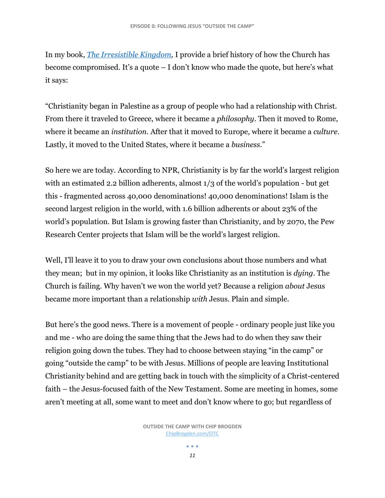In my book, *[The Irresistible Kingdom,](http://chipbrogden.com/books)* I provide a brief history of how the Church has become compromised. It's a quote – I don't know who made the quote, but here's what it says:

"Christianity began in Palestine as a group of people who had a relationship with Christ. From there it traveled to Greece, where it became a *philosophy*. Then it moved to Rome, where it became an *institution*. After that it moved to Europe, where it became a *culture*. Lastly, it moved to the United States, where it became a *business*."

So here we are today. According to NPR, Christianity is by far the world's largest religion with an estimated 2.2 billion adherents, almost  $1/3$  of the world's population - but get this - fragmented across 40,000 denominations! 40,000 denominations! Islam is the second largest religion in the world, with 1.6 billion adherents or about 23% of the world's population. But Islam is growing faster than Christianity, and by 2070, the Pew Research Center projects that Islam will be the world's largest religion.

Well, I'll leave it to you to draw your own conclusions about those numbers and what they mean; but in my opinion, it looks like Christianity as an institution is *dying*. The Church is failing. Why haven't we won the world yet? Because a religion *about* Jesus became more important than a relationship *with* Jesus. Plain and simple.

But here's the good news. There is a movement of people - ordinary people just like you and me - who are doing the same thing that the Jews had to do when they saw their religion going down the tubes. They had to choose between staying "in the camp" or going "outside the camp" to be with Jesus. Millions of people are leaving Institutional Christianity behind and are getting back in touch with the simplicity of a Christ-centered faith – the Jesus-focused faith of the New Testament. Some are meeting in homes, some aren't meeting at all, some want to meet and don't know where to go; but regardless of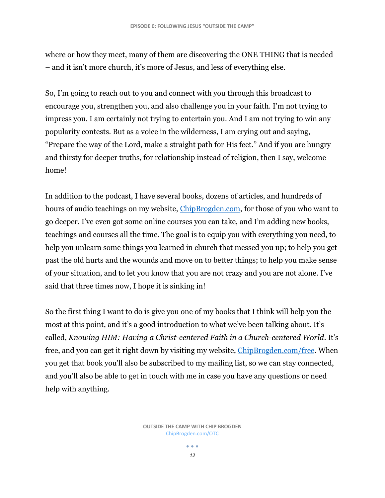where or how they meet, many of them are discovering the ONE THING that is needed – and it isn't more church, it's more of Jesus, and less of everything else.

So, I'm going to reach out to you and connect with you through this broadcast to encourage you, strengthen you, and also challenge you in your faith. I'm not trying to impress you. I am certainly not trying to entertain you. And I am not trying to win any popularity contests. But as a voice in the wilderness, I am crying out and saying, "Prepare the way of the Lord, make a straight path for His feet." And if you are hungry and thirsty for deeper truths, for relationship instead of religion, then I say, welcome home!

In addition to the podcast, I have several books, dozens of articles, and hundreds of hours of audio teachings on my website, [ChipBrogden.com,](http://chipbrogden.com/) for those of you who want to go deeper. I've even got some online courses you can take, and I'm adding new books, teachings and courses all the time. The goal is to equip you with everything you need, to help you unlearn some things you learned in church that messed you up; to help you get past the old hurts and the wounds and move on to better things; to help you make sense of your situation, and to let you know that you are not crazy and you are not alone. I've said that three times now, I hope it is sinking in!

So the first thing I want to do is give you one of my books that I think will help you the most at this point, and it's a good introduction to what we've been talking about. It's called, *Knowing HIM: Having a Christ-centered Faith in a Church-centered World*. It's free, and you can get it right down by visiting my website, [ChipBrogden.com/free.](http://chipbrogden.com/free) When you get that book you'll also be subscribed to my mailing list, so we can stay connected, and you'll also be able to get in touch with me in case you have any questions or need help with anything.

> **OUTSIDE THE CAMP WITH CHIP BROGDEN** [ChipBrogden.com/OTC](http://chipbrogden.com/OTC)